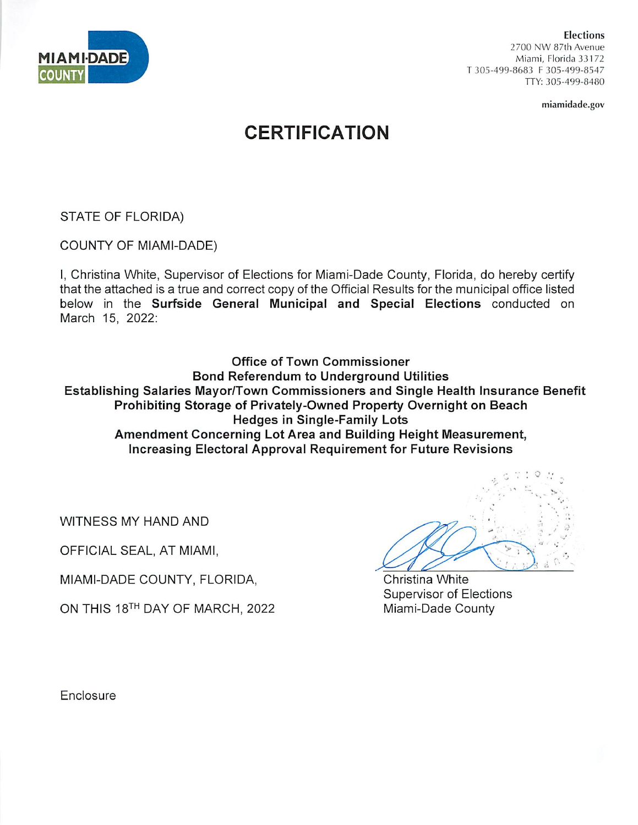

Elections 2700 NW 87th Avenue Miami, Florida 33172 T 305-499-8683 F 305-499-8547 TTY: 305-499-8480

miamidade.gov

# **CERTIFICATION**

STATE OF FLORIDA)

COUNTY OF MIAMI-DADE)

I, Christina White, Supervisor of Elections for Miami-Dade County, Florida, do hereby certify that the attached is a true and correct copy of the Official Results for the municipal office listed below in the Surfside General Municipal and Special Elections conducted on March 15, 2022:

Office of Town Commissioner Bond Referendum to Underground Utilities Establishing Salaries Mayor/Town Commissioners and Single Health Insurance Benefit Prohibiting Storage of Privately-Owned Property Overnight on Beach Hedges in Single-Family Lots Amendment Concerning Lot Area and Building Height Measurement, Increasing Electoral Approval Requirement for Future Revisions

WITNESS MY HAND AND

OFFICIAL SEAL, AT MIAMI,

MIAMI-DADE COUNTY, FLORIDA,

ON THIS 18TH day of MARCH. 2022

• •; ; O  $\frac{1}{2}$  in  $E_{\nu_{\rm s}}$ .

Christina White Supervisor of Elections Miami-Dade County

**Enclosure**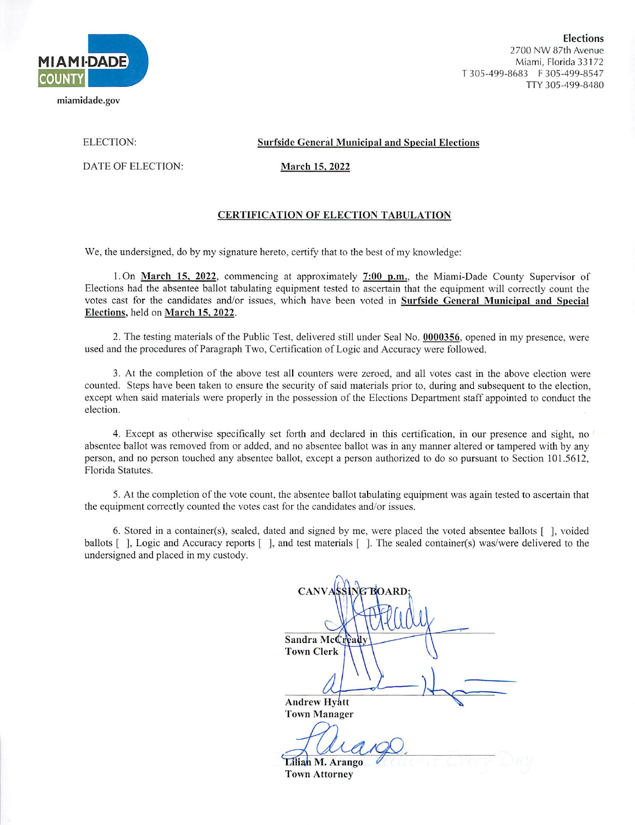

Elections 2700 NW 87th Avenue Miami, Florida 33172 T 305-499-8683 F 305-499-8547 TTY 305-499-8480

ELECTION:

DATE OF ELECTION;

### Surfside General Municipal and Special Elections

March 15. 2022

## CERTIFICATION OF ELECTION TABULATION

We, the undersigned, do by my signature hereto, certify that to the best of my knowledge:

l.On March 15. 2Q22. commencing at approximately 7:00 p.m.. the Miami-Dade County Supervisor of Elections had the absentee ballot tabulating equipment tested to ascertain that the equipment will correctly count the votes cast for the candidates and/or issues, which have been voted in Surfside Genera! Municipal and Special Elections, held on March 15. 2022.

2. The testing materials of the Public Test, delivered still under Seal No. 0000356. opened in my presence, were used and the procedures of Paragraph Two, Certification of Logic and Accuracy were followed.

3. At the completion of the above test all counters were zeroed, and all votes cast in the above election were counted. Steps have been taken to ensure the security of said materials prior to, during and subsequent to the election, except when said materials were properly in the possession of the Elections Department staff appointed to conduct the election.

4. Except as otherwise specifically set forth and declared in this certification, in our presence and sight, no absentee ballot was removed from or added, and no absentee ballot was in any manner altered or tampered with by any person, and no person touched any absentee ballot, except a person authorized to do so pursuant to Section 101.5612, Florida Statutes.

5. At the completion of the vote count, the absentee ballot tabulating equipment was again tested to ascertain that the equipment correctly counted the votes cast for the candidates and/or issues.

6. Stored in a container(s), sealed, dated and signed by me, were placed the voted absentee ballots [ ], voided ballots [ ], Logic and Accuracy reports [ ], and test materials [ ]. The sealed container(s) was/were delivered to the undersigned and placed in my custody.

CANVASSING BOARD; Sandra McCready Town Clerk Andrew Hyatt Town Manager Liliah M. Arango Town Attorney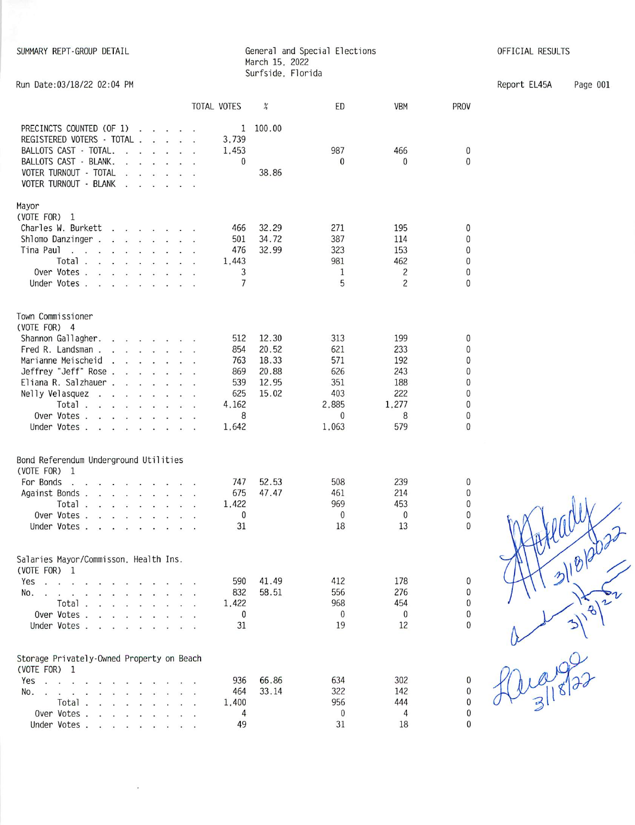SUMMARY REPT-GROUP DETAIL

## General and Special Elections March 15. 2022 Surfside. Florida

OFFICIAL RESULTS

 $\pmb{0}$  $\pmb{0}$ 

 $\pmb{0}$  $\pmb{0}$  $\pmb{0}$  $\pmb{0}$  $\pmb{0}$  $\pmb{0}$ 

 $\begin{matrix} 0 \\ 0 \\ 0 \end{matrix}$ 

 $\begin{matrix} 0 \\ 0 \\ 0 \\ 0 \end{matrix}$ 

 $\pmb{0}$ 

 $\begin{matrix} 0 \\ 0 \\ 0 \\ 0 \end{matrix}$ 

Report EL45A Page 001

| Run Date: 03/18/22 02:04 PM                                                                                                                                                                                                                                                                                                                                                                                                                                                                                                                                                                                                                                                                                                                                                                                                                                                                                                                                                                                                                                                                                                                                     |                                                                                                    |                                                               |                                                    |                                                                         |                                                              |                                                                        |
|-----------------------------------------------------------------------------------------------------------------------------------------------------------------------------------------------------------------------------------------------------------------------------------------------------------------------------------------------------------------------------------------------------------------------------------------------------------------------------------------------------------------------------------------------------------------------------------------------------------------------------------------------------------------------------------------------------------------------------------------------------------------------------------------------------------------------------------------------------------------------------------------------------------------------------------------------------------------------------------------------------------------------------------------------------------------------------------------------------------------------------------------------------------------|----------------------------------------------------------------------------------------------------|---------------------------------------------------------------|----------------------------------------------------|-------------------------------------------------------------------------|--------------------------------------------------------------|------------------------------------------------------------------------|
|                                                                                                                                                                                                                                                                                                                                                                                                                                                                                                                                                                                                                                                                                                                                                                                                                                                                                                                                                                                                                                                                                                                                                                 |                                                                                                    | TOTAL VOTES                                                   | $\%$                                               | ED                                                                      | <b>VBM</b>                                                   | PROV                                                                   |
| PRECINCTS COUNTED (OF 1)<br>$\mathbf{r}$ and $\mathbf{r}$ and $\mathbf{r}$<br>REGISTERED VOTERS - TOTAL<br>BALLOTS CAST - TOTAL.<br><b>Contract Contract Street</b><br>$\mathbf{r}$<br>BALLOTS CAST - BLANK.<br>VOTER TURNOUT - TOTAL<br>VOTER TURNOUT - BLANK                                                                                                                                                                                                                                                                                                                                                                                                                                                                                                                                                                                                                                                                                                                                                                                                                                                                                                  | $\mathbf{r} = \mathbf{r} \cdot \mathbf{r}$ . The set of $\mathbf{r} = \mathbf{r} \cdot \mathbf{r}$ | 1<br>3,739<br>1,453<br>0                                      | 100.00<br>38.86                                    | 987<br>$\bf{0}$                                                         | 466<br>0                                                     | 0<br>$\mathbf{0}$                                                      |
| Mayor<br>(VOTE FOR) 1<br>Charles W. Burkett<br>$\mathbf{r}$ , and $\mathbf{r}$ is a part of $\mathbf{r}$ , and<br>Shlomo Danzinger.<br>Tina Paul<br>the company of the company of the company<br>an in<br>$\sim$<br>Total.<br>the contract of the contract of<br>Over Votes.<br>Under Votes.<br><b>Contract</b>                                                                                                                                                                                                                                                                                                                                                                                                                                                                                                                                                                                                                                                                                                                                                                                                                                                 |                                                                                                    | 466<br>501<br>476<br>1,443<br>3<br>$\overline{7}$             | 32.29<br>34.72<br>32.99                            | 271<br>387<br>323<br>981<br>1<br>5                                      | 195<br>114<br>153<br>462<br>$\overline{c}$<br>$\overline{c}$ | $\mathbf{0}$<br>$\mathbf{0}$<br>0<br>0<br>$\mathbf{0}$<br>$\mathbf{0}$ |
| Town Commissioner<br>(VOTE FOR) 4<br>Shannon Gallagher.<br>Fred R. Landsman.<br>$\mathbf{r}$ . The contract of the contract of the contract of the contract of the contract of the contract of the contract of the contract of the contract of the contract of the contract of the contract of the contract of th<br>Marianne Meischeid<br>the contract of the con-<br>$\ddot{\phantom{a}}$<br>Jeffrey "Jeff" Rose.<br>Eliana R. Salzhauer<br>Nelly Velasquez<br>the contract of the contract of<br>$\sim$<br>Total.<br>$\label{eq:3.1} \begin{array}{cccccccccccccc} \left\langle \left( \mathbf{x}^{\prime} \right) \right\rangle & \mathbf{x}^{\prime} & \left( \mathbf{x}^{\prime} \right) & \mathbf{x}^{\prime} & \left( \mathbf{x}^{\prime} \right) & \mathbf{x}^{\prime} & \mathbf{x}^{\prime} \end{array} \end{array}$<br>Over Votes.<br><b>Contract Contract Contract Contract Contract Contract Contract Contract Contract Contract Contract Contract Contract Contract Contract Contract Contract Contract Contract Contract Contract Contract Contract Contract Contr</b><br>Under Votes.<br>$\sim$ $\sim$ $\sim$<br>$\overline{a}$<br>$\mathbf{r}$ | $\sim$ $\sim$                                                                                      | 512<br>854<br>763<br>869<br>539<br>625<br>4,162<br>8<br>1,642 | 12.30<br>20.52<br>18.33<br>20.88<br>12.95<br>15.02 | 313<br>621<br>571<br>626<br>351<br>403<br>2,885<br>$\mathbf 0$<br>1,063 | 199<br>233<br>192<br>243<br>188<br>222<br>1,277<br>8<br>579  | 0<br>$\Omega$<br>0<br>$\mathbf{0}$<br>0<br>0<br>$\mathbf{0}$<br>0<br>0 |
| Bond Referendum Underground Utilities<br>(VOTE FOR) 1<br>For Bonds<br>Against Bonds.<br>part of the control of the fact<br>Total.<br>Over Votes.<br>Under Votes .<br><b>Communication</b>                                                                                                                                                                                                                                                                                                                                                                                                                                                                                                                                                                                                                                                                                                                                                                                                                                                                                                                                                                       |                                                                                                    | 747<br>675<br>1,422<br>0<br>31                                | 52.53<br>47.47                                     | 508<br>461<br>969<br>0<br>18                                            | 239<br>214<br>453<br>0<br>13                                 | 0<br>0<br>0<br>0<br>0                                                  |
| Salaries Mayor/Commisson, Health Ins.<br>(VOTE FOR) 1<br>Yes<br>$\mathbf{u}$ . The contract of the contract of the contract of the contract of the contract of the contract of the contract of the contract of the contract of the contract of the contract of the contract of the contract of th<br>No.<br>.<br>Total $\cdots$<br>Over Votes.<br>the contract of the contract of the contract of the contract of the contract of the contract of the contract of<br>Under Votes.                                                                                                                                                                                                                                                                                                                                                                                                                                                                                                                                                                                                                                                                               |                                                                                                    | 590<br>832<br>1,422<br>$\bf{0}$<br>31                         | 41.49<br>58.51                                     | 412<br>556<br>968<br>0<br>19                                            | 178<br>276<br>454<br>0<br>12                                 | $\mathbf{0}$<br>0<br>$\Omega$<br>0<br>0                                |
| Storage Privately-Owned Property on Beach<br>(VOTE FOR) 1<br>Yes<br>No.<br>Total.<br><b>Contract Contract Contract Contract Contract Contract Contract Contract Contract Contract Contract Contract Contract Contract Contract Contract Contract Contract Contract Contract Contract Contract Contract Contract Contr</b><br>Over Votes.<br>the company of the company of the company<br>Under Votes                                                                                                                                                                                                                                                                                                                                                                                                                                                                                                                                                                                                                                                                                                                                                            |                                                                                                    | 936<br>464<br>1,400<br>4<br>49                                | 66.86<br>33.14                                     | 634<br>322<br>956<br>$\bf{0}$<br>31                                     | 302<br>142<br>444<br>4<br>18                                 | $\mathbf{0}$<br>0<br>0<br>0                                            |

 $\ddot{\cdot}$ 

r~ $318$  $\overline{\mathcal{A}}$  $\overline{C}$